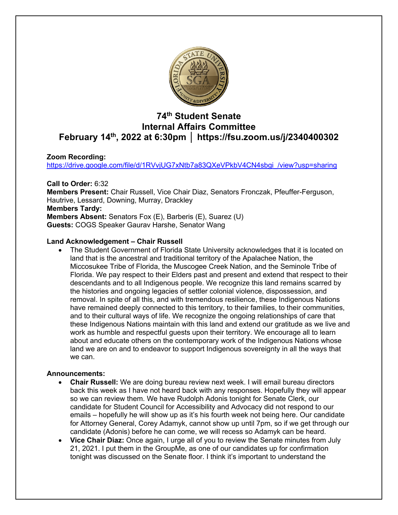

# **74th Student Senate Internal Affairs Committee February 14th, 2022 at 6:30pm │ https://fsu.zoom.us/j/2340400302**

## **Zoom Recording:**

https://drive.google.com/file/d/1RVvjUG7xNtb7a83QXeVPkbV4CN4sbgi\_/view?usp=sharing

**Call to Order:** 6:32 **Members Present:** Chair Russell, Vice Chair Diaz, Senators Fronczak, Pfeuffer-Ferguson, Hautrive, Lessard, Downing, Murray, Drackley **Members Tardy: Members Absent:** Senators Fox (E), Barberis (E), Suarez (U) **Guests:** COGS Speaker Gaurav Harshe, Senator Wang

### **Land Acknowledgement – Chair Russell**

• The Student Government of Florida State University acknowledges that it is located on land that is the ancestral and traditional territory of the Apalachee Nation, the Miccosukee Tribe of Florida, the Muscogee Creek Nation, and the Seminole Tribe of Florida. We pay respect to their Elders past and present and extend that respect to their descendants and to all Indigenous people. We recognize this land remains scarred by the histories and ongoing legacies of settler colonial violence, dispossession, and removal. In spite of all this, and with tremendous resilience, these Indigenous Nations have remained deeply connected to this territory, to their families, to their communities, and to their cultural ways of life. We recognize the ongoing relationships of care that these Indigenous Nations maintain with this land and extend our gratitude as we live and work as humble and respectful guests upon their territory. We encourage all to learn about and educate others on the contemporary work of the Indigenous Nations whose land we are on and to endeavor to support Indigenous sovereignty in all the ways that we can.

## **Announcements:**

- **Chair Russell:** We are doing bureau review next week. I will email bureau directors back this week as I have not heard back with any responses. Hopefully they will appear so we can review them. We have Rudolph Adonis tonight for Senate Clerk, our candidate for Student Council for Accessibility and Advocacy did not respond to our emails – hopefully he will show up as it's his fourth week not being here. Our candidate for Attorney General, Corey Adamyk, cannot show up until 7pm, so if we get through our candidate (Adonis) before he can come, we will recess so Adamyk can be heard.
- **Vice Chair Diaz:** Once again, I urge all of you to review the Senate minutes from July 21, 2021. I put them in the GroupMe, as one of our candidates up for confirmation tonight was discussed on the Senate floor. I think it's important to understand the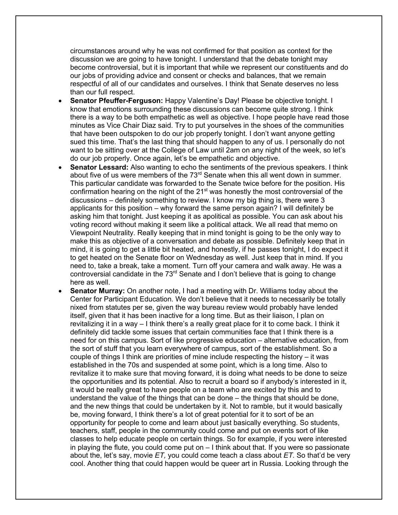circumstances around why he was not confirmed for that position as context for the discussion we are going to have tonight. I understand that the debate tonight may become controversial, but it is important that while we represent our constituents and do our jobs of providing advice and consent or checks and balances, that we remain respectful of all of our candidates and ourselves. I think that Senate deserves no less than our full respect.

- **Senator Pfeuffer-Ferguson:** Happy Valentine's Day! Please be objective tonight. I know that emotions surrounding these discussions can become quite strong. I think there is a way to be both empathetic as well as objective. I hope people have read those minutes as Vice Chair Diaz said. Try to put yourselves in the shoes of the communities that have been outspoken to do our job properly tonight. I don't want anyone getting sued this time. That's the last thing that should happen to any of us. I personally do not want to be sitting over at the College of Law until 2am on any night of the week, so let's do our job properly. Once again, let's be empathetic and objective.
- **Senator Lessard:** Also wanting to echo the sentiments of the previous speakers. I think about five of us were members of the  $73<sup>rd</sup>$  Senate when this all went down in summer. This particular candidate was forwarded to the Senate twice before for the position. His confirmation hearing on the night of the 21<sup>st</sup> was honestly the most controversial of the discussions – definitely something to review. I know my big thing is, there were 3 applicants for this position – why forward the same person again? I will definitely be asking him that tonight. Just keeping it as apolitical as possible. You can ask about his voting record without making it seem like a political attack. We all read that memo on Viewpoint Neutrality. Really keeping that in mind tonight is going to be the only way to make this as objective of a conversation and debate as possible. Definitely keep that in mind, it is going to get a little bit heated, and honestly, if he passes tonight, I do expect it to get heated on the Senate floor on Wednesday as well. Just keep that in mind. If you need to, take a break, take a moment. Turn off your camera and walk away. He was a controversial candidate in the  $73<sup>rd</sup>$  Senate and I don't believe that is going to change here as well.
- **Senator Murray:** On another note, I had a meeting with Dr. Williams today about the Center for Participant Education. We don't believe that it needs to necessarily be totally nixed from statutes per se, given the way bureau review would probably have lended itself, given that it has been inactive for a long time. But as their liaison, I plan on revitalizing it in a way – I think there's a really great place for it to come back. I think it definitely did tackle some issues that certain communities face that I think there is a need for on this campus. Sort of like progressive education – alternative education, from the sort of stuff that you learn everywhere of campus, sort of the establishment. So a couple of things I think are priorities of mine include respecting the history – it was established in the 70s and suspended at some point, which is a long time. Also to revitalize it to make sure that moving forward, it is doing what needs to be done to seize the opportunities and its potential. Also to recruit a board so if anybody's interested in it, it would be really great to have people on a team who are excited by this and to understand the value of the things that can be done – the things that should be done, and the new things that could be undertaken by it. Not to ramble, but it would basically be, moving forward, I think there's a lot of great potential for it to sort of be an opportunity for people to come and learn about just basically everything. So students, teachers, staff, people in the community could come and put on events sort of like classes to help educate people on certain things. So for example, if you were interested in playing the flute, you could come put on – I think about that. If you were so passionate about the, let's say, movie *ET,* you could come teach a class about *ET.* So that'd be very cool. Another thing that could happen would be queer art in Russia. Looking through the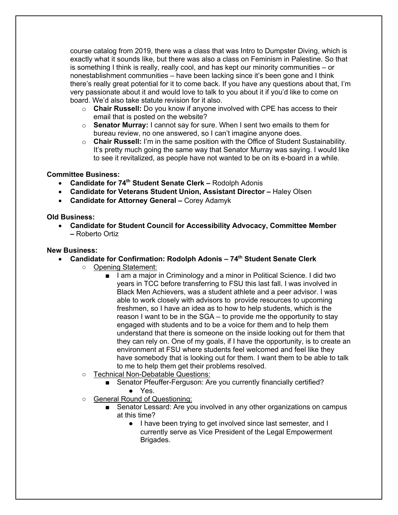course catalog from 2019, there was a class that was Intro to Dumpster Diving, which is exactly what it sounds like, but there was also a class on Feminism in Palestine. So that is something I think is really, really cool, and has kept our minority communities – or nonestablishment communities – have been lacking since it's been gone and I think there's really great potential for it to come back. If you have any questions about that, I'm very passionate about it and would love to talk to you about it if you'd like to come on board. We'd also take statute revision for it also.

- o **Chair Russell:** Do you know if anyone involved with CPE has access to their email that is posted on the website?
- o **Senator Murray:** I cannot say for sure. When I sent two emails to them for bureau review, no one answered, so I can't imagine anyone does.
- o **Chair Russell:** I'm in the same position with the Office of Student Sustainability. It's pretty much going the same way that Senator Murray was saying. I would like to see it revitalized, as people have not wanted to be on its e-board in a while.

### **Committee Business:**

- **Candidate for 74th Student Senate Clerk –** Rodolph Adonis
- **Candidate for Veterans Student Union, Assistant Director –** Haley Olsen
- **Candidate for Attorney General –** Corey Adamyk

### **Old Business:**

• **Candidate for Student Council for Accessibility Advocacy, Committee Member –** Roberto Ortiz

### **New Business:**

- **Candidate for Confirmation: Rodolph Adonis – 74th Student Senate Clerk**
	- Opening Statement:
		- I am a major in Criminology and a minor in Political Science. I did two years in TCC before transferring to FSU this last fall. I was involved in Black Men Achievers, was a student athlete and a peer advisor. I was able to work closely with advisors to provide resources to upcoming freshmen, so I have an idea as to how to help students, which is the reason I want to be in the SGA – to provide me the opportunity to stay engaged with students and to be a voice for them and to help them understand that there is someone on the inside looking out for them that they can rely on. One of my goals, if I have the opportunity, is to create an environment at FSU where students feel welcomed and feel like they have somebody that is looking out for them. I want them to be able to talk to me to help them get their problems resolved.
	- Technical Non-Debatable Questions:
		- Senator Pfeuffer-Ferguson: Are you currently financially certified? ● Yes.
	- o General Round of Questioning:
		- Senator Lessard: Are you involved in any other organizations on campus at this time?
			- I have been trying to get involved since last semester, and I currently serve as Vice President of the Legal Empowerment Brigades.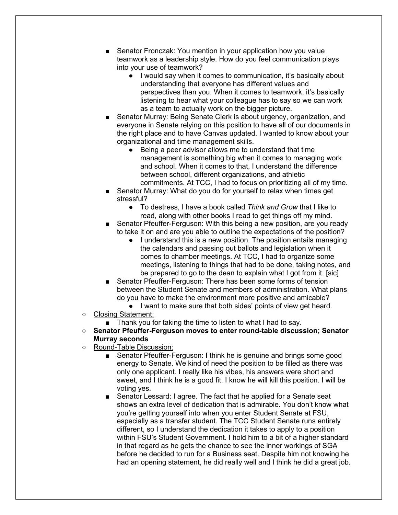- Senator Fronczak: You mention in your application how you value teamwork as a leadership style. How do you feel communication plays into your use of teamwork?
	- I would say when it comes to communication, it's basically about understanding that everyone has different values and perspectives than you. When it comes to teamwork, it's basically listening to hear what your colleague has to say so we can work as a team to actually work on the bigger picture.
- Senator Murray: Being Senate Clerk is about urgency, organization, and everyone in Senate relying on this position to have all of our documents in the right place and to have Canvas updated. I wanted to know about your organizational and time management skills.
	- Being a peer advisor allows me to understand that time management is something big when it comes to managing work and school. When it comes to that, I understand the difference between school, different organizations, and athletic commitments. At TCC, I had to focus on prioritizing all of my time.
- Senator Murray: What do you do for yourself to relax when times get stressful?
	- To destress, I have a book called *Think and Grow* that I like to read, along with other books I read to get things off my mind.
- Senator Pfeuffer-Ferguson: With this being a new position, are you ready to take it on and are you able to outline the expectations of the position?
	- I understand this is a new position. The position entails managing the calendars and passing out ballots and legislation when it comes to chamber meetings. At TCC, I had to organize some meetings, listening to things that had to be done, taking notes, and be prepared to go to the dean to explain what I got from it. [sic]
- Senator Pfeuffer-Ferguson: There has been some forms of tension between the Student Senate and members of administration. What plans do you have to make the environment more positive and amicable?
	- I want to make sure that both sides' points of view get heard.
- Closing Statement:
	- Thank you for taking the time to listen to what I had to say.
- **Senator Pfeuffer-Ferguson moves to enter round-table discussion; Senator Murray seconds**
- Round-Table Discussion:
	- Senator Pfeuffer-Ferguson: I think he is genuine and brings some good energy to Senate. We kind of need the position to be filled as there was only one applicant. I really like his vibes, his answers were short and sweet, and I think he is a good fit. I know he will kill this position. I will be voting yes.
	- Senator Lessard: I agree. The fact that he applied for a Senate seat shows an extra level of dedication that is admirable. You don't know what you're getting yourself into when you enter Student Senate at FSU, especially as a transfer student. The TCC Student Senate runs entirely different, so I understand the dedication it takes to apply to a position within FSU's Student Government. I hold him to a bit of a higher standard in that regard as he gets the chance to see the inner workings of SGA before he decided to run for a Business seat. Despite him not knowing he had an opening statement, he did really well and I think he did a great job.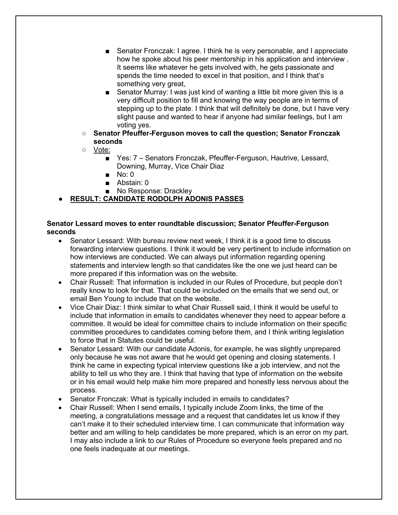- Senator Fronczak: I agree. I think he is very personable, and I appreciate how he spoke about his peer mentorship in his application and interview . It seems like whatever he gets involved with, he gets passionate and spends the time needed to excel in that position, and I think that's something very great.
- Senator Murray: I was just kind of wanting a little bit more given this is a very difficult position to fill and knowing the way people are in terms of stepping up to the plate. I think that will definitely be done, but I have very slight pause and wanted to hear if anyone had similar feelings, but I am voting yes.
- **Senator Pfeuffer-Ferguson moves to call the question; Senator Fronczak seconds**
- Vote:
	- Yes: 7 Senators Fronczak, Pfeuffer-Ferguson, Hautrive, Lessard, Downing, Murray, Vice Chair Diaz
	- No: 0
	- Abstain: 0
	- No Response: Drackley

# ● **RESULT: CANDIDATE RODOLPH ADONIS PASSES**

### **Senator Lessard moves to enter roundtable discussion; Senator Pfeuffer-Ferguson seconds**

- Senator Lessard: With bureau review next week, I think it is a good time to discuss forwarding interview questions. I think it would be very pertinent to include information on how interviews are conducted. We can always put information regarding opening statements and interview length so that candidates like the one we just heard can be more prepared if this information was on the website.
- Chair Russell: That information is included in our Rules of Procedure, but people don't really know to look for that. That could be included on the emails that we send out, or email Ben Young to include that on the website.
- Vice Chair Diaz: I think similar to what Chair Russell said, I think it would be useful to include that information in emails to candidates whenever they need to appear before a committee. It would be ideal for committee chairs to include information on their specific committee procedures to candidates coming before them, and I think writing legislation to force that in Statutes could be useful.
- Senator Lessard: With our candidate Adonis, for example, he was slightly unprepared only because he was not aware that he would get opening and closing statements. I think he came in expecting typical interview questions like a job interview, and not the ability to tell us who they are. I think that having that type of information on the website or in his email would help make him more prepared and honestly less nervous about the process.
- Senator Fronczak: What is typically included in emails to candidates?
- Chair Russell: When I send emails, I typically include Zoom links, the time of the meeting, a congratulations message and a request that candidates let us know if they can't make it to their scheduled interview time. I can communicate that information way better and am willing to help candidates be more prepared, which is an error on my part. I may also include a link to our Rules of Procedure so everyone feels prepared and no one feels inadequate at our meetings.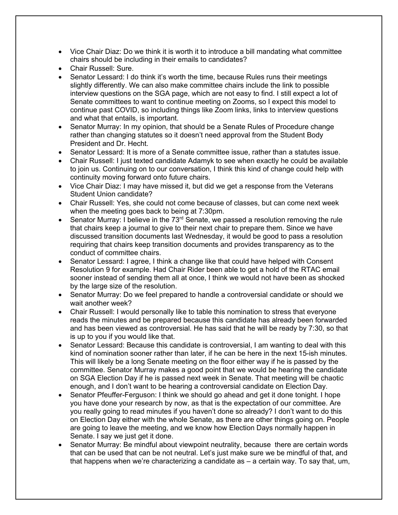- Vice Chair Diaz: Do we think it is worth it to introduce a bill mandating what committee chairs should be including in their emails to candidates?
- Chair Russell: Sure.
- Senator Lessard: I do think it's worth the time, because Rules runs their meetings slightly differently. We can also make committee chairs include the link to possible interview questions on the SGA page, which are not easy to find. I still expect a lot of Senate committees to want to continue meeting on Zooms, so I expect this model to continue past COVID, so including things like Zoom links, links to interview questions and what that entails, is important.
- Senator Murray: In my opinion, that should be a Senate Rules of Procedure change rather than changing statutes so it doesn't need approval from the Student Body President and Dr. Hecht.
- Senator Lessard: It is more of a Senate committee issue, rather than a statutes issue.
- Chair Russell: I just texted candidate Adamyk to see when exactly he could be available to join us. Continuing on to our conversation, I think this kind of change could help with continuity moving forward onto future chairs.
- Vice Chair Diaz: I may have missed it, but did we get a response from the Veterans Student Union candidate?
- Chair Russell: Yes, she could not come because of classes, but can come next week when the meeting goes back to being at 7:30pm.
- Senator Murray: I believe in the  $73<sup>rd</sup>$  Senate, we passed a resolution removing the rule that chairs keep a journal to give to their next chair to prepare them. Since we have discussed transition documents last Wednesday, it would be good to pass a resolution requiring that chairs keep transition documents and provides transparency as to the conduct of committee chairs.
- Senator Lessard: I agree, I think a change like that could have helped with Consent Resolution 9 for example. Had Chair Rider been able to get a hold of the RTAC email sooner instead of sending them all at once, I think we would not have been as shocked by the large size of the resolution.
- Senator Murray: Do we feel prepared to handle a controversial candidate or should we wait another week?
- Chair Russell: I would personally like to table this nomination to stress that everyone reads the minutes and be prepared because this candidate has already been forwarded and has been viewed as controversial. He has said that he will be ready by 7:30, so that is up to you if you would like that.
- Senator Lessard: Because this candidate is controversial, I am wanting to deal with this kind of nomination sooner rather than later, if he can be here in the next 15-ish minutes. This will likely be a long Senate meeting on the floor either way if he is passed by the committee. Senator Murray makes a good point that we would be hearing the candidate on SGA Election Day if he is passed next week in Senate. That meeting will be chaotic enough, and I don't want to be hearing a controversial candidate on Election Day.
- Senator Pfeuffer-Ferguson: I think we should go ahead and get it done tonight. I hope you have done your research by now, as that is the expectation of our committee. Are you really going to read minutes if you haven't done so already? I don't want to do this on Election Day either with the whole Senate, as there are other things going on. People are going to leave the meeting, and we know how Election Days normally happen in Senate. I say we just get it done.
- Senator Murray: Be mindful about viewpoint neutrality, because there are certain words that can be used that can be not neutral. Let's just make sure we be mindful of that, and that happens when we're characterizing a candidate as – a certain way. To say that, um,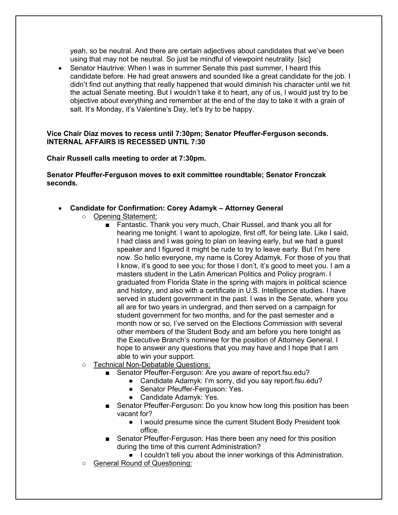yeah, so be neutral. And there are certain adjectives about candidates that we've been using that may not be neutral. So just be mindful of viewpoint neutrality. [sic]

• Senator Hautrive: When I was in summer Senate this past summer, I heard this candidate before. He had great answers and sounded like a great candidate for the job. I didn't find out anything that really happened that would diminish his character until we hit the actual Senate meeting. But I wouldn't take it to heart, any of us, I would just try to be objective about everything and remember at the end of the day to take it with a grain of salt. It's Monday, it's Valentine's Day, let's try to be happy.

### **Vice Chair Diaz moves to recess until 7:30pm; Senator Pfeuffer-Ferguson seconds. INTERNAL AFFAIRS IS RECESSED UNTIL 7:30**

### **Chair Russell calls meeting to order at 7:30pm.**

**Senator Pfeuffer-Ferguson moves to exit committee roundtable; Senator Fronczak seconds.**

- **Candidate for Confirmation: Corey Adamyk – Attorney General**
	- Opening Statement:
		- Fantastic. Thank you very much, Chair Russel, and thank you all for hearing me tonight. I want to apologize, first off, for being late. Like I said, I had class and I was going to plan on leaving early, but we had a guest speaker and I figured it might be rude to try to leave early. But I'm here now. So hello everyone, my name is Corey Adamyk. For those of you that I know, it's good to see you; for those I don't, it's good to meet you. I am a masters student in the Latin American Politics and Policy program. I graduated from Florida State in the spring with majors in political science and history, and also with a certificate in U.S. Intelligence studies. I have served in student government in the past. I was in the Senate, where you all are for two years in undergrad, and then served on a campaign for student government for two months, and for the past semester and a month now or so, I've served on the Elections Commission with several other members of the Student Body and am before you here tonight as the Executive Branch's nominee for the position of Attorney General. I hope to answer any questions that you may have and I hope that I am able to win your support.
	- Technical Non-Debatable Questions:
		- Senator Pfeuffer-Ferguson: Are you aware of report.fsu.edu?
			- Candidate Adamyk: I'm sorry, did you say report.fsu.edu?
			- Senator Pfeuffer-Ferguson: Yes.
			- Candidate Adamyk: Yes.
		- Senator Pfeuffer-Ferguson: Do you know how long this position has been vacant for?
			- I would presume since the current Student Body President took office.
		- Senator Pfeuffer-Ferguson: Has there been any need for this position during the time of this current Administration?
			- I couldn't tell you about the inner workings of this Administration.
	- General Round of Questioning: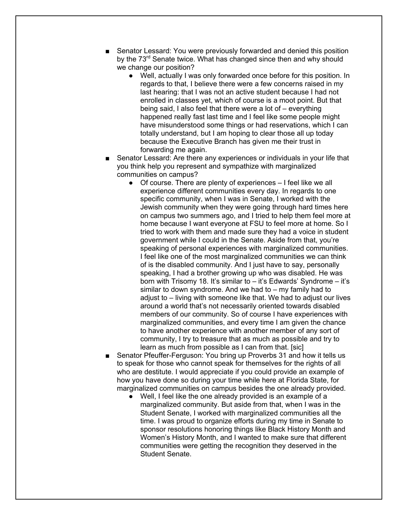- Senator Lessard: You were previously forwarded and denied this position by the 73<sup>rd</sup> Senate twice. What has changed since then and why should we change our position?
	- Well, actually I was only forwarded once before for this position. In regards to that, I believe there were a few concerns raised in my last hearing: that I was not an active student because I had not enrolled in classes yet, which of course is a moot point. But that being said, I also feel that there were a lot of – everything happened really fast last time and I feel like some people might have misunderstood some things or had reservations, which I can totally understand, but I am hoping to clear those all up today because the Executive Branch has given me their trust in forwarding me again.
- Senator Lessard: Are there any experiences or individuals in your life that you think help you represent and sympathize with marginalized communities on campus?
	- Of course. There are plenty of experiences I feel like we all experience different communities every day. In regards to one specific community, when I was in Senate, I worked with the Jewish community when they were going through hard times here on campus two summers ago, and I tried to help them feel more at home because I want everyone at FSU to feel more at home. So I tried to work with them and made sure they had a voice in student government while I could in the Senate. Aside from that, you're speaking of personal experiences with marginalized communities. I feel like one of the most marginalized communities we can think of is the disabled community. And I just have to say, personally speaking, I had a brother growing up who was disabled. He was born with Trisomy 18. It's similar to – it's Edwards' Syndrome – it's similar to down syndrome. And we had to – my family had to adjust to – living with someone like that. We had to adjust our lives around a world that's not necessarily oriented towards disabled members of our community. So of course I have experiences with marginalized communities, and every time I am given the chance to have another experience with another member of any sort of community, I try to treasure that as much as possible and try to learn as much from possible as I can from that. [sic]
- Senator Pfeuffer-Ferguson: You bring up Proverbs 31 and how it tells us to speak for those who cannot speak for themselves for the rights of all who are destitute. I would appreciate if you could provide an example of how you have done so during your time while here at Florida State, for marginalized communities on campus besides the one already provided.
	- Well, I feel like the one already provided is an example of a marginalized community. But aside from that, when I was in the Student Senate, I worked with marginalized communities all the time. I was proud to organize efforts during my time in Senate to sponsor resolutions honoring things like Black History Month and Women's History Month, and I wanted to make sure that different communities were getting the recognition they deserved in the Student Senate.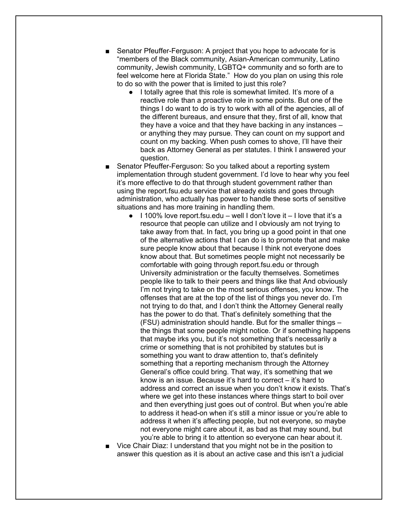- Senator Pfeuffer-Ferguson: A project that you hope to advocate for is "members of the Black community, Asian-American community, Latino community, Jewish community, LGBTQ+ community and so forth are to feel welcome here at Florida State." How do you plan on using this role to do so with the power that is limited to just this role?
	- I totally agree that this role is somewhat limited. It's more of a reactive role than a proactive role in some points. But one of the things I do want to do is try to work with all of the agencies, all of the different bureaus, and ensure that they, first of all, know that they have a voice and that they have backing in any instances – or anything they may pursue. They can count on my support and count on my backing. When push comes to shove, I'll have their back as Attorney General as per statutes. I think I answered your question.
- Senator Pfeuffer-Ferguson: So you talked about a reporting system implementation through student government. I'd love to hear why you feel it's more effective to do that through student government rather than using the report.fsu.edu service that already exists and goes through administration, who actually has power to handle these sorts of sensitive situations and has more training in handling them.
	- $\bullet$  1100% love report. fsu.edu well I don't love it I love that it's a resource that people can utilize and I obviously am not trying to take away from that. In fact, you bring up a good point in that one of the alternative actions that I can do is to promote that and make sure people know about that because I think not everyone does know about that. But sometimes people might not necessarily be comfortable with going through report.fsu.edu or through University administration or the faculty themselves. Sometimes people like to talk to their peers and things like that And obviously I'm not trying to take on the most serious offenses, you know. The offenses that are at the top of the list of things you never do. I'm not trying to do that, and I don't think the Attorney General really has the power to do that. That's definitely something that the (FSU) administration should handle. But for the smaller things – the things that some people might notice. Or if something happens that maybe irks you, but it's not something that's necessarily a crime or something that is not prohibited by statutes but is something you want to draw attention to, that's definitely something that a reporting mechanism through the Attorney General's office could bring. That way, it's something that we know is an issue. Because it's hard to correct – it's hard to address and correct an issue when you don't know it exists. That's where we get into these instances where things start to boil over and then everything just goes out of control. But when you're able to address it head-on when it's still a minor issue or you're able to address it when it's affecting people, but not everyone, so maybe not everyone might care about it, as bad as that may sound, but you're able to bring it to attention so everyone can hear about it.
- Vice Chair Diaz: I understand that you might not be in the position to answer this question as it is about an active case and this isn't a judicial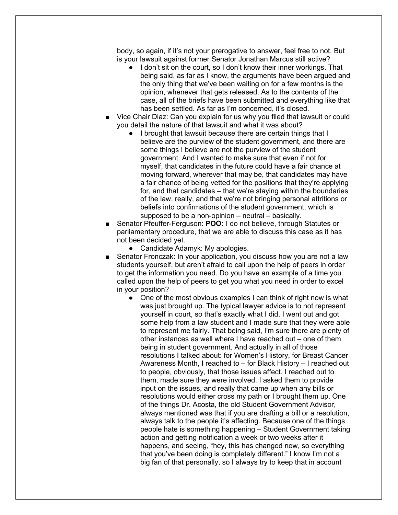body, so again, if it's not your prerogative to answer, feel free to not. But is your lawsuit against former Senator Jonathan Marcus still active?

- I don't sit on the court, so I don't know their inner workings. That being said, as far as I know, the arguments have been argued and the only thing that we've been waiting on for a few months is the opinion, whenever that gets released. As to the contents of the case, all of the briefs have been submitted and everything like that has been settled. As far as I'm concerned, it's closed.
- Vice Chair Diaz: Can you explain for us why you filed that lawsuit or could you detail the nature of that lawsuit and what it was about?
	- I brought that lawsuit because there are certain things that I believe are the purview of the student government, and there are some things I believe are not the purview of the student government. And I wanted to make sure that even if not for myself, that candidates in the future could have a fair chance at moving forward, wherever that may be, that candidates may have a fair chance of being vetted for the positions that they're applying for, and that candidates – that we're staying within the boundaries of the law, really, and that we're not bringing personal attritions or beliefs into confirmations of the student government, which is supposed to be a non-opinion – neutral – basically.
- Senator Pfeuffer-Ferguson: **POO:** I do not believe, through Statutes or parliamentary procedure, that we are able to discuss this case as it has not been decided yet.
	- Candidate Adamyk: My apologies.
- Senator Fronczak: In your application, you discuss how you are not a law students yourself, but aren't afraid to call upon the help of peers in order to get the information you need. Do you have an example of a time you called upon the help of peers to get you what you need in order to excel in your position?
	- One of the most obvious examples I can think of right now is what was just brought up. The typical lawyer advice is to not represent yourself in court, so that's exactly what I did. I went out and got some help from a law student and I made sure that they were able to represent me fairly. That being said, I'm sure there are plenty of other instances as well where I have reached out – one of them being in student government. And actually in all of those resolutions I talked about: for Women's History, for Breast Cancer Awareness Month, I reached to – for Black History – I reached out to people, obviously, that those issues affect. I reached out to them, made sure they were involved. I asked them to provide input on the issues, and really that came up when any bills or resolutions would either cross my path or I brought them up. One of the things Dr. Acosta, the old Student Government Advisor, always mentioned was that if you are drafting a bill or a resolution, always talk to the people it's affecting. Because one of the things people hate is something happening – Student Government taking action and getting notification a week or two weeks after it happens, and seeing, "hey, this has changed now, so everything that you've been doing is completely different." I know I'm not a big fan of that personally, so I always try to keep that in account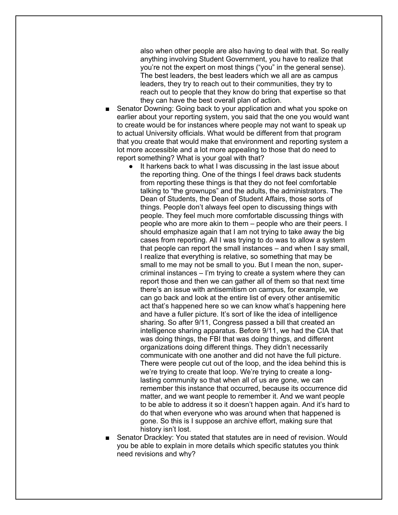also when other people are also having to deal with that. So really anything involving Student Government, you have to realize that you're not the expert on most things ("you" in the general sense). The best leaders, the best leaders which we all are as campus leaders, they try to reach out to their communities, they try to reach out to people that they know do bring that expertise so that they can have the best overall plan of action.

- Senator Downing: Going back to your application and what you spoke on earlier about your reporting system, you said that the one you would want to create would be for instances where people may not want to speak up to actual University officials. What would be different from that program that you create that would make that environment and reporting system a lot more accessible and a lot more appealing to those that do need to report something? What is your goal with that?
	- It harkens back to what I was discussing in the last issue about the reporting thing. One of the things I feel draws back students from reporting these things is that they do not feel comfortable talking to "the grownups" and the adults, the administrators. The Dean of Students, the Dean of Student Affairs, those sorts of things. People don't always feel open to discussing things with people. They feel much more comfortable discussing things with people who are more akin to them – people who are their peers. I should emphasize again that I am not trying to take away the big cases from reporting. All I was trying to do was to allow a system that people can report the small instances – and when I say small, I realize that everything is relative, so something that may be small to me may not be small to you. But I mean the non, supercriminal instances – I'm trying to create a system where they can report those and then we can gather all of them so that next time there's an issue with antisemitism on campus, for example, we can go back and look at the entire list of every other antisemitic act that's happened here so we can know what's happening here and have a fuller picture. It's sort of like the idea of intelligence sharing. So after 9/11, Congress passed a bill that created an intelligence sharing apparatus. Before 9/11, we had the CIA that was doing things, the FBI that was doing things, and different organizations doing different things. They didn't necessarily communicate with one another and did not have the full picture. There were people cut out of the loop, and the idea behind this is we're trying to create that loop. We're trying to create a longlasting community so that when all of us are gone, we can remember this instance that occurred, because its occurrence did matter, and we want people to remember it. And we want people to be able to address it so it doesn't happen again. And it's hard to do that when everyone who was around when that happened is gone. So this is I suppose an archive effort, making sure that history isn't lost.
- Senator Drackley: You stated that statutes are in need of revision. Would you be able to explain in more details which specific statutes you think need revisions and why?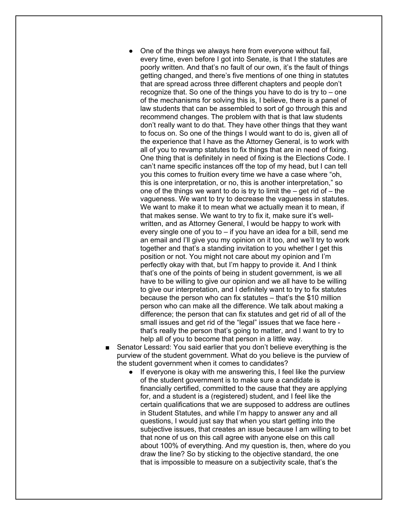- One of the things we always here from everyone without fail. every time, even before I got into Senate, is that I the statutes are poorly written. And that's no fault of our own, it's the fault of things getting changed, and there's five mentions of one thing in statutes that are spread across three different chapters and people don't recognize that. So one of the things you have to do is try to – one of the mechanisms for solving this is, I believe, there is a panel of law students that can be assembled to sort of go through this and recommend changes. The problem with that is that law students don't really want to do that. They have other things that they want to focus on. So one of the things I would want to do is, given all of the experience that I have as the Attorney General, is to work with all of you to revamp statutes to fix things that are in need of fixing. One thing that is definitely in need of fixing is the Elections Code. I can't name specific instances off the top of my head, but I can tell you this comes to fruition every time we have a case where "oh, this is one interpretation, or no, this is another interpretation," so one of the things we want to do is try to limit the  $-$  get rid of  $-$  the vagueness. We want to try to decrease the vagueness in statutes. We want to make it to mean what we actually mean it to mean, if that makes sense. We want to try to fix it, make sure it's wellwritten, and as Attorney General, I would be happy to work with every single one of you to – if you have an idea for a bill, send me an email and I'll give you my opinion on it too, and we'll try to work together and that's a standing invitation to you whether I get this position or not. You might not care about my opinion and I'm perfectly okay with that, but I'm happy to provide it. And I think that's one of the points of being in student government, is we all have to be willing to give our opinion and we all have to be willing to give our interpretation, and I definitely want to try to fix statutes because the person who can fix statutes – that's the \$10 million person who can make all the difference. We talk about making a difference; the person that can fix statutes and get rid of all of the small issues and get rid of the "legal" issues that we face here that's really the person that's going to matter, and I want to try to help all of you to become that person in a little way.
- Senator Lessard: You said earlier that you don't believe everything is the purview of the student government. What do you believe is the purview of the student government when it comes to candidates?
	- If everyone is okay with me answering this, I feel like the purview of the student government is to make sure a candidate is financially certified, committed to the cause that they are applying for, and a student is a (registered) student, and I feel like the certain qualifications that we are supposed to address are outlines in Student Statutes, and while I'm happy to answer any and all questions, I would just say that when you start getting into the subjective issues, that creates an issue because I am willing to bet that none of us on this call agree with anyone else on this call about 100% of everything. And my question is, then, where do you draw the line? So by sticking to the objective standard, the one that is impossible to measure on a subjectivity scale, that's the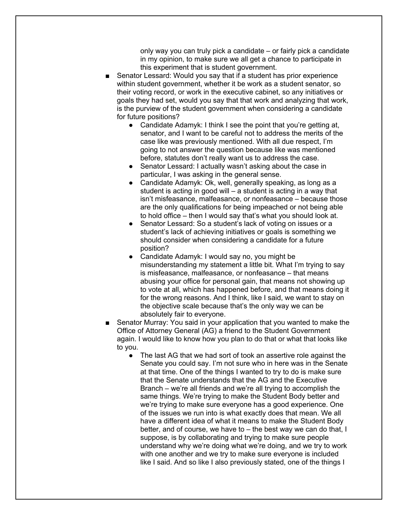only way you can truly pick a candidate – or fairly pick a candidate in my opinion, to make sure we all get a chance to participate in this experiment that is student government.

- Senator Lessard: Would you say that if a student has prior experience within student government, whether it be work as a student senator, so their voting record, or work in the executive cabinet, so any initiatives or goals they had set, would you say that that work and analyzing that work, is the purview of the student government when considering a candidate for future positions?
	- Candidate Adamyk: I think I see the point that you're getting at, senator, and I want to be careful not to address the merits of the case like was previously mentioned. With all due respect, I'm going to not answer the question because like was mentioned before, statutes don't really want us to address the case.
	- Senator Lessard: I actually wasn't asking about the case in particular, I was asking in the general sense.
	- Candidate Adamyk: Ok, well, generally speaking, as long as a student is acting in good will – a student is acting in a way that isn't misfeasance, malfeasance, or nonfeasance – because those are the only qualifications for being impeached or not being able to hold office – then I would say that's what you should look at.
	- Senator Lessard: So a student's lack of voting on issues or a student's lack of achieving initiatives or goals is something we should consider when considering a candidate for a future position?
	- Candidate Adamyk: I would say no, you might be misunderstanding my statement a little bit. What I'm trying to say is misfeasance, malfeasance, or nonfeasance – that means abusing your office for personal gain, that means not showing up to vote at all, which has happened before, and that means doing it for the wrong reasons. And I think, like I said, we want to stay on the objective scale because that's the only way we can be absolutely fair to everyone.
- Senator Murray: You said in your application that you wanted to make the Office of Attorney General (AG) a friend to the Student Government again. I would like to know how you plan to do that or what that looks like to you.
	- The last AG that we had sort of took an assertive role against the Senate you could say. I'm not sure who in here was in the Senate at that time. One of the things I wanted to try to do is make sure that the Senate understands that the AG and the Executive Branch – we're all friends and we're all trying to accomplish the same things. We're trying to make the Student Body better and we're trying to make sure everyone has a good experience. One of the issues we run into is what exactly does that mean. We all have a different idea of what it means to make the Student Body better, and of course, we have to – the best way we can do that, I suppose, is by collaborating and trying to make sure people understand why we're doing what we're doing, and we try to work with one another and we try to make sure everyone is included like I said. And so like I also previously stated, one of the things I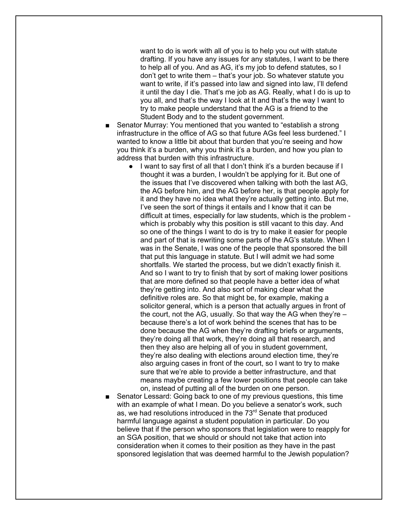want to do is work with all of you is to help you out with statute drafting. If you have any issues for any statutes, I want to be there to help all of you. And as AG, it's my job to defend statutes, so I don't get to write them – that's your job. So whatever statute you want to write, if it's passed into law and signed into law. I'll defend it until the day I die. That's me job as AG. Really, what I do is up to you all, and that's the way I look at It and that's the way I want to try to make people understand that the AG is a friend to the Student Body and to the student government.

- Senator Murray: You mentioned that you wanted to "establish a strong" infrastructure in the office of AG so that future AGs feel less burdened." I wanted to know a little bit about that burden that you're seeing and how you think it's a burden, why you think it's a burden, and how you plan to address that burden with this infrastructure.
	- I want to say first of all that I don't think it's a burden because if I thought it was a burden, I wouldn't be applying for it. But one of the issues that I've discovered when talking with both the last AG, the AG before him, and the AG before her, is that people apply for it and they have no idea what they're actually getting into. But me, I've seen the sort of things it entails and I know that it can be difficult at times, especially for law students, which is the problem which is probably why this position is still vacant to this day. And so one of the things I want to do is try to make it easier for people and part of that is rewriting some parts of the AG's statute. When I was in the Senate, I was one of the people that sponsored the bill that put this language in statute. But I will admit we had some shortfalls. We started the process, but we didn't exactly finish it. And so I want to try to finish that by sort of making lower positions that are more defined so that people have a better idea of what they're getting into. And also sort of making clear what the definitive roles are. So that might be, for example, making a solicitor general, which is a person that actually argues in front of the court, not the AG, usually. So that way the AG when they're – because there's a lot of work behind the scenes that has to be done because the AG when they're drafting briefs or arguments, they're doing all that work, they're doing all that research, and then they also are helping all of you in student government, they're also dealing with elections around election time, they're also arguing cases in front of the court, so I want to try to make sure that we're able to provide a better infrastructure, and that means maybe creating a few lower positions that people can take on, instead of putting all of the burden on one person.
- Senator Lessard: Going back to one of my previous questions, this time with an example of what I mean. Do you believe a senator's work, such as, we had resolutions introduced in the 73<sup>rd</sup> Senate that produced harmful language against a student population in particular. Do you believe that if the person who sponsors that legislation were to reapply for an SGA position, that we should or should not take that action into consideration when it comes to their position as they have in the past sponsored legislation that was deemed harmful to the Jewish population?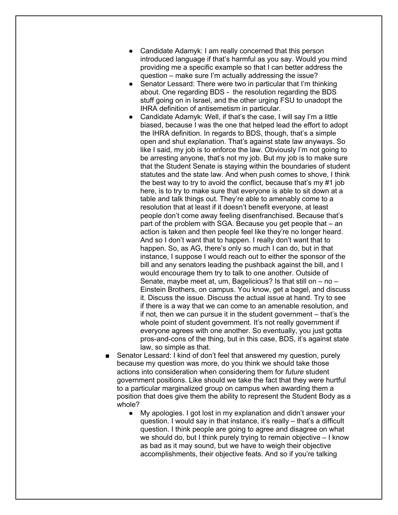- Candidate Adamyk: I am really concerned that this person introduced language if that's harmful as you say. Would you mind providing me a specific example so that I can better address the question – make sure I'm actually addressing the issue?
- Senator Lessard: There were two in particular that I'm thinking about. One regarding BDS - the resolution regarding the BDS stuff going on in Israel, and the other urging FSU to unadopt the IHRA definition of antisemetism in particular.
- Candidate Adamyk: Well, if that's the case, I will say I'm a little biased, because I was the one that helped lead the effort to adopt the IHRA definition. In regards to BDS, though, that's a simple open and shut explanation. That's against state law anyways. So like I said, my job is to enforce the law. Obviously I'm not going to be arresting anyone, that's not my job. But my job is to make sure that the Student Senate is staying within the boundaries of student statutes and the state law. And when push comes to shove, I think the best way to try to avoid the conflict, because that's my #1 job here, is to try to make sure that everyone is able to sit down at a table and talk things out. They're able to amenably come to a resolution that at least if it doesn't benefit everyone, at least people don't come away feeling disenfranchised. Because that's part of the problem with SGA. Because you get people that – an action is taken and then people feel like they're no longer heard. And so I don't want that to happen. I really don't want that to happen. So, as AG, there's only so much I can do, but in that instance, I suppose I would reach out to either the sponsor of the bill and any senators leading the pushback against the bill, and I would encourage them try to talk to one another. Outside of Senate, maybe meet at, um, Bagelicious? Is that still on  $-$  no  $-$ Einstein Brothers, on campus. You know, get a bagel, and discuss it. Discuss the issue. Discuss the actual issue at hand. Try to see if there is a way that we can come to an amenable resolution, and if not, then we can pursue it in the student government – that's the whole point of student government. It's not really government if everyone agrees with one another. So eventually, you just gotta pros-and-cons of the thing, but in this case, BDS, it's against state law, so simple as that.
- Senator Lessard: I kind of don't feel that answered my question, purely because my question was more, do you think we should take those actions into consideration when considering them for *future* student government positions. Like should we take the fact that they were hurtful to a particular marginalized group on campus when awarding them a position that does give them the ability to represent the Student Body as a whole?
	- My apologies. I got lost in my explanation and didn't answer your question. I would say in that instance, it's really – that's a difficult question. I think people are going to agree and disagree on what we should do, but I think purely trying to remain objective – I know as bad as it may sound, but we have to weigh their objective accomplishments, their objective feats. And so if you're talking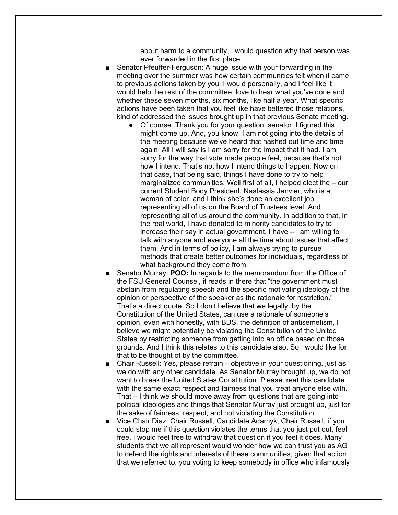about harm to a community, I would question why that person was ever forwarded in the first place.

- Senator Pfeuffer-Ferguson: A huge issue with your forwarding in the meeting over the summer was how certain communities felt when it came to previous actions taken by you. I would personally, and I feel like it would help the rest of the committee, love to hear what you've done and whether these seven months, six months, like half a year. What specific actions have been taken that you feel like have bettered those relations, kind of addressed the issues brought up in that previous Senate meeting.
	- Of course. Thank you for your question, senator. I figured this might come up. And, you know, I am not going into the details of the meeting because we've heard that hashed out time and time again. All I will say is I am sorry for the impact that it had. I am sorry for the way that vote made people feel, because that's not how I intend. That's not how I intend things to happen. Now on that case, that being said, things I have done to try to help marginalized communities. Well first of all, I helped elect the – our current Student Body President, Nastassia Janvier, who is a woman of color, and I think she's done an excellent job representing all of us on the Board of Trustees level. And representing all of us around the community. In addition to that, in the real world, I have donated to minority candidates to try to increase their say in actual government, I have – I am willing to talk with anyone and everyone all the time about issues that affect them. And in terms of policy, I am always trying to pursue methods that create better outcomes for individuals, regardless of what background they come from.
- Senator Murray: **POO:** In regards to the memorandum from the Office of the FSU General Counsel, it reads in there that "the government must abstain from regulating speech and the specific motivating ideology of the opinion or perspective of the speaker as the rationale for restriction." That's a direct quote. So I don't believe that we legally, by the Constitution of the United States, can use a rationale of someone's opinion, even with honestly, with BDS, the definition of antisemetism, I believe we might potentially be violating the Constitution of the United States by restricting someone from getting into an office based on those grounds. And I think this relates to this candidate also. So I would like for that to be thought of by the committee.
- Chair Russell: Yes, please refrain objective in your questioning, just as we do with any other candidate. As Senator Murray brought up, we do not want to break the United States Constitution. Please treat this candidate with the same exact respect and fairness that you treat anyone else with. That – I think we should move away from questions that are going into political ideologies and things that Senator Murray just brought up, just for the sake of fairness, respect, and not violating the Constitution.
- Vice Chair Diaz: Chair Russell, Candidate Adamyk, Chair Russell, if you could stop me if this question violates the terms that you just put out, feel free, I would feel free to withdraw that question if you feel it does. Many students that we all represent would wonder how we can trust you as AG to defend the rights and interests of these communities, given that action that we referred to, you voting to keep somebody in office who infamously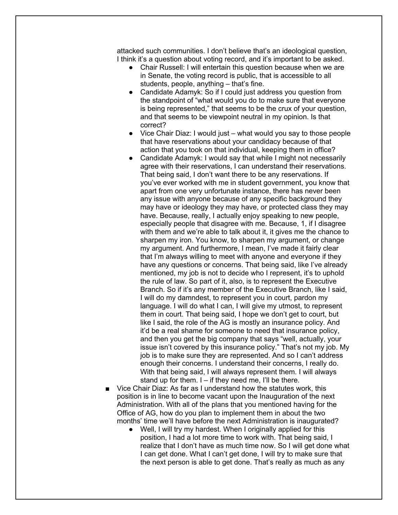attacked such communities. I don't believe that's an ideological question, I think it's a question about voting record, and it's important to be asked.

- Chair Russell: I will entertain this question because when we are in Senate, the voting record is public, that is accessible to all students, people, anything – that's fine.
- Candidate Adamyk: So if I could just address you question from the standpoint of "what would you do to make sure that everyone is being represented," that seems to be the crux of your question, and that seems to be viewpoint neutral in my opinion. Is that correct?
- Vice Chair Diaz: I would just what would you say to those people that have reservations about your candidacy because of that action that you took on that individual, keeping them in office?
- Candidate Adamyk: I would say that while I might not necessarily agree with their reservations, I can understand their reservations. That being said, I don't want there to be any reservations. If you've ever worked with me in student government, you know that apart from one very unfortunate instance, there has never been any issue with anyone because of any specific background they may have or ideology they may have, or protected class they may have. Because, really, I actually enjoy speaking to new people, especially people that disagree with me. Because, 1, if I disagree with them and we're able to talk about it, it gives me the chance to sharpen my iron. You know, to sharpen my argument, or change my argument. And furthermore, I mean, I've made it fairly clear that I'm always willing to meet with anyone and everyone if they have any questions or concerns. That being said, like I've already mentioned, my job is not to decide who I represent, it's to uphold the rule of law. So part of it, also, is to represent the Executive Branch. So if it's any member of the Executive Branch, like I said, I will do my damndest, to represent you in court, pardon my language. I will do what I can, I will give my utmost, to represent them in court. That being said, I hope we don't get to court, but like I said, the role of the AG is mostly an insurance policy. And it'd be a real shame for someone to need that insurance policy, and then you get the big company that says "well, actually, your issue isn't covered by this insurance policy." That's not my job. My job is to make sure they are represented. And so I can't address enough their concerns. I understand their concerns, I really do. With that being said, I will always represent them. I will always stand up for them.  $I - if$  they need me, I'll be there.
- Vice Chair Diaz: As far as I understand how the statutes work, this position is in line to become vacant upon the Inauguration of the next Administration. With all of the plans that you mentioned having for the Office of AG, how do you plan to implement them in about the two months' time we'll have before the next Administration is inaugurated?
	- Well, I will try my hardest. When I originally applied for this position, I had a lot more time to work with. That being said, I realize that I don't have as much time now. So I will get done what I can get done. What I can't get done, I will try to make sure that the next person is able to get done. That's really as much as any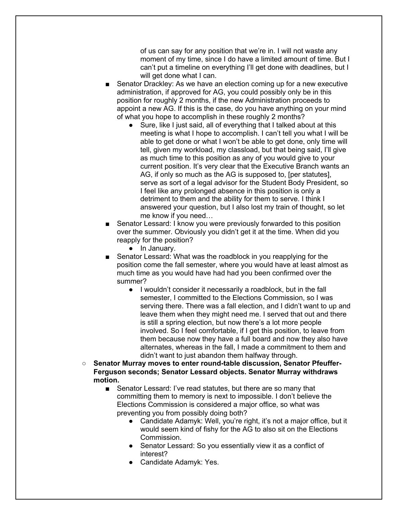of us can say for any position that we're in. I will not waste any moment of my time, since I do have a limited amount of time. But I can't put a timeline on everything I'll get done with deadlines, but I will get done what I can.

- Senator Drackley: As we have an election coming up for a new executive administration, if approved for AG, you could possibly only be in this position for roughly 2 months, if the new Administration proceeds to appoint a new AG. If this is the case, do you have anything on your mind of what you hope to accomplish in these roughly 2 months?
	- Sure, like I just said, all of everything that I talked about at this meeting is what I hope to accomplish. I can't tell you what I will be able to get done or what I won't be able to get done, only time will tell, given my workload, my classload, but that being said, I'll give as much time to this position as any of you would give to your current position. It's very clear that the Executive Branch wants an AG, if only so much as the AG is supposed to, [per statutes], serve as sort of a legal advisor for the Student Body President, so I feel like any prolonged absence in this position is only a detriment to them and the ability for them to serve. I think I answered your question, but I also lost my train of thought, so let me know if you need…
- Senator Lessard: I know you were previously forwarded to this position over the summer. Obviously you didn't get it at the time. When did you reapply for the position?
	- In January.
- Senator Lessard: What was the roadblock in you reapplying for the position come the fall semester, where you would have at least almost as much time as you would have had had you been confirmed over the summer?
	- I wouldn't consider it necessarily a roadblock, but in the fall semester, I committed to the Elections Commission, so I was serving there. There was a fall election, and I didn't want to up and leave them when they might need me. I served that out and there is still a spring election, but now there's a lot more people involved. So I feel comfortable, if I get this position, to leave from them because now they have a full board and now they also have alternates, whereas in the fall, I made a commitment to them and didn't want to just abandon them halfway through.
- **Senator Murray moves to enter round-table discussion, Senator Pfeuffer-Ferguson seconds; Senator Lessard objects. Senator Murray withdraws motion.**
	- Senator Lessard: I've read statutes, but there are so many that committing them to memory is next to impossible. I don't believe the Elections Commission is considered a major office, so what was preventing you from possibly doing both?
		- Candidate Adamyk: Well, you're right, it's not a major office, but it would seem kind of fishy for the AG to also sit on the Elections Commission.
		- Senator Lessard: So you essentially view it as a conflict of interest?
		- Candidate Adamyk: Yes.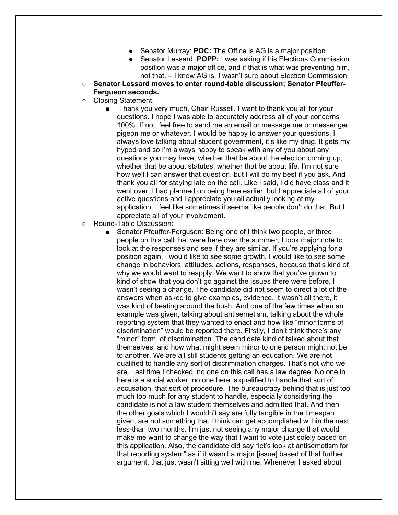- Senator Murray: **POC:** The Office is AG is a major position.
- Senator Lessard: **POPP:** I was asking if his Elections Commission position was a major office, and if that is what was preventing him, not that. – I know AG is, I wasn't sure about Election Commission.
- Senator Lessard moves to enter round-table discussion: Senator Pfeuffer-**Ferguson seconds.**
- Closing Statement:
	- Thank you very much, Chair Russell. I want to thank you all for your questions. I hope I was able to accurately address all of your concerns 100%. If not, feel free to send me an email or message me or messenger pigeon me or whatever. I would be happy to answer your questions, I always love talking about student government, it's like my drug. It gets my hyped and so I'm always happy to speak with any of you about any questions you may have, whether that be about the election coming up, whether that be about statutes, whether that be about life, I'm not sure how well I can answer that question, but I will do my best if you ask. And thank you all for staying late on the call. Like I said, I did have class and it went over, I had planned on being here earlier, but I appreciate all of your active questions and I appreciate you all actually looking at my application. I feel like sometimes it seems like people don't do that. But I appreciate all of your involvement.
- Round-Table Discussion:
	- Senator Pfeuffer-Ferguson: Being one of I think two people, or three people on this call that were here over the summer, I took major note to look at the responses and see if they are similar. If you're applying for a position again, I would like to see some growth, I would like to see some change in behaviors, attitudes, actions, responses, because that's kind of why we would want to reapply. We want to show that you've grown to kind of show that you don't go against the issues there were before. I wasn't seeing a change. The candidate did not seem to direct a lot of the answers when asked to give examples, evidence. It wasn't all there, it was kind of beating around the bush. And one of the few times when an example was given, talking about antisemetism, talking about the whole reporting system that they wanted to enact and how like "minor forms of discrimination" would be reported there. Firstly, I don't think there's any "minor" form. of discrimination. The candidate kind of talked about that themselves, and how what might seem minor to one person might not be to another. We are all still students getting an education. We are not qualified to handle any sort of discrimination charges. That's not who we are. Last time I checked, no one on this call has a law degree. No one in here is a social worker, no one here is qualified to handle that sort of accusation, that sort of procedure. The bureaucracy behind that is just too much too much for any student to handle, especially considering the candidate is not a law student themselves and admitted that. And then the other goals which I wouldn't say are fully tangible in the timespan given, are not something that I think can get accomplished within the next less-than two months. I'm just not seeing any major change that would make me want to change the way that I want to vote just solely based on this application. Also, the candidate did say "let's look at antisemetism for that reporting system" as if it wasn't a major [issue] based of that further argument, that just wasn't sitting well with me. Whenever I asked about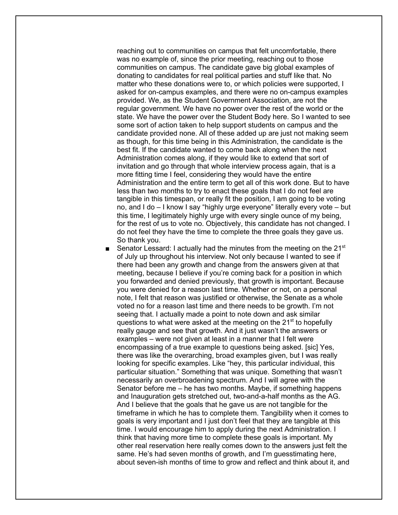reaching out to communities on campus that felt uncomfortable, there was no example of, since the prior meeting, reaching out to those communities on campus. The candidate gave big global examples of donating to candidates for real political parties and stuff like that. No matter who these donations were to, or which policies were supported, I asked for on-campus examples, and there were no on-campus examples provided. We, as the Student Government Association, are not the regular government. We have no power over the rest of the world or the state. We have the power over the Student Body here. So I wanted to see some sort of action taken to help support students on campus and the candidate provided none. All of these added up are just not making seem as though, for this time being in this Administration, the candidate is the best fit. If the candidate wanted to come back along when the next Administration comes along, if they would like to extend that sort of invitation and go through that whole interview process again, that is a more fitting time I feel, considering they would have the entire Administration and the entire term to get all of this work done. But to have less than two months to try to enact these goals that I do not feel are tangible in this timespan, or really fit the position, I am going to be voting no, and I do – I know I say "highly urge everyone" literally every vote – but this time, I legitimately highly urge with every single ounce of my being, for the rest of us to vote no. Objectively, this candidate has not changed. I do not feel they have the time to complete the three goals they gave us. So thank you.

Senator Lessard: I actually had the minutes from the meeting on the 21 $\mathrm{^{st}}$ of July up throughout his interview. Not only because I wanted to see if there had been any growth and change from the answers given at that meeting, because I believe if you're coming back for a position in which you forwarded and denied previously, that growth is important. Because you were denied for a reason last time. Whether or not, on a personal note, I felt that reason was justified or otherwise, the Senate as a whole voted no for a reason last time and there needs to be growth. I'm not seeing that. I actually made a point to note down and ask similar questions to what were asked at the meeting on the  $21<sup>st</sup>$  to hopefully really gauge and see that growth. And it just wasn't the answers or examples – were not given at least in a manner that I felt were encompassing of a true example to questions being asked. [sic] Yes, there was like the overarching, broad examples given, but I was really looking for specific examples. Like "hey, this particular individual, this particular situation." Something that was unique. Something that wasn't necessarily an overbroadening spectrum. And I will agree with the Senator before me – he has two months. Maybe, if something happens and Inauguration gets stretched out, two-and-a-half months as the AG. And I believe that the goals that he gave us are not tangible for the timeframe in which he has to complete them. Tangibility when it comes to goals is very important and I just don't feel that they are tangible at this time. I would encourage him to apply during the next Administration. I think that having more time to complete these goals is important. My other real reservation here really comes down to the answers just felt the same. He's had seven months of growth, and I'm guesstimating here, about seven-ish months of time to grow and reflect and think about it, and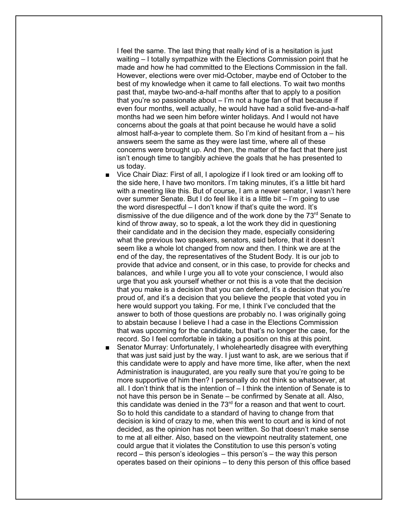I feel the same. The last thing that really kind of is a hesitation is just waiting – I totally sympathize with the Elections Commission point that he made and how he had committed to the Elections Commission in the fall. However, elections were over mid-October, maybe end of October to the best of my knowledge when it came to fall elections. To wait two months past that, maybe two-and-a-half months after that to apply to a position that you're so passionate about – I'm not a huge fan of that because if even four months, well actually, he would have had a solid five-and-a-half months had we seen him before winter holidays. And I would not have concerns about the goals at that point because he would have a solid almost half-a-year to complete them. So I'm kind of hesitant from a – his answers seem the same as they were last time, where all of these concerns were brought up. And then, the matter of the fact that there just isn't enough time to tangibly achieve the goals that he has presented to us today.

- Vice Chair Diaz: First of all, I apologize if I look tired or am looking off to the side here, I have two monitors. I'm taking minutes, it's a little bit hard with a meeting like this. But of course, I am a newer senator, I wasn't here over summer Senate. But I do feel like it is a little bit – I'm going to use the word disrespectful – I don't know if that's quite the word. It's dismissive of the due diligence and of the work done by the 73<sup>rd</sup> Senate to kind of throw away, so to speak, a lot the work they did in questioning their candidate and in the decision they made, especially considering what the previous two speakers, senators, said before, that it doesn't seem like a whole lot changed from now and then. I think we are at the end of the day, the representatives of the Student Body. It is our job to provide that advice and consent, or in this case, to provide for checks and balances, and while I urge you all to vote your conscience, I would also urge that you ask yourself whether or not this is a vote that the decision that you make is a decision that you can defend, it's a decision that you're proud of, and it's a decision that you believe the people that voted you in here would support you taking. For me, I think I've concluded that the answer to both of those questions are probably no. I was originally going to abstain because I believe I had a case in the Elections Commission that was upcoming for the candidate, but that's no longer the case, for the record. So I feel comfortable in taking a position on this at this point.
- Senator Murray: Unfortunately, I wholeheartedly disagree with everything that was just said just by the way. I just want to ask, are we serious that if this candidate were to apply and have more time, like after, when the next Administration is inaugurated, are you really sure that you're going to be more supportive of him then? I personally do not think so whatsoever, at all. I don't think that is the intention of – I think the intention of Senate is to not have this person be in Senate – be confirmed by Senate at all. Also, this candidate was denied in the  $73<sup>rd</sup>$  for a reason and that went to court. So to hold this candidate to a standard of having to change from that decision is kind of crazy to me, when this went to court and is kind of not decided, as the opinion has not been written. So that doesn't make sense to me at all either. Also, based on the viewpoint neutrality statement, one could argue that it violates the Constitution to use this person's voting record – this person's ideologies – this person's – the way this person operates based on their opinions – to deny this person of this office based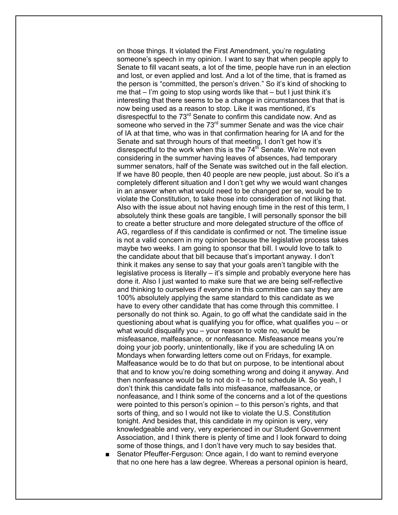on those things. It violated the First Amendment, you're regulating someone's speech in my opinion. I want to say that when people apply to Senate to fill vacant seats, a lot of the time, people have run in an election and lost, or even applied and lost. And a lot of the time, that is framed as the person is "committed, the person's driven." So it's kind of shocking to me that  $-$  I'm going to stop using words like that  $-$  but I just think it's interesting that there seems to be a change in circumstances that that is now being used as a reason to stop. Like it was mentioned, it's disrespectful to the 73<sup>rd</sup> Senate to confirm this candidate now. And as someone who served in the 73<sup>rd</sup> summer Senate and was the vice chair of IA at that time, who was in that confirmation hearing for IA and for the Senate and sat through hours of that meeting, I don't get how it's disrespectful to the work when this is the  $74<sup>th</sup>$  Senate. We're not even considering in the summer having leaves of absences, had temporary summer senators, half of the Senate was switched out in the fall election. If we have 80 people, then 40 people are new people, just about. So it's a completely different situation and I don't get why we would want changes in an answer when what would need to be changed per se, would be to violate the Constitution, to take those into consideration of not liking that. Also with the issue about not having enough time in the rest of this term, I absolutely think these goals are tangible, I will personally sponsor the bill to create a better structure and more delegated structure of the office of AG, regardless of if this candidate is confirmed or not. The timeline issue is not a valid concern in my opinion because the legislative process takes maybe two weeks. I am going to sponsor that bill. I would love to talk to the candidate about that bill because that's important anyway. I don't think it makes any sense to say that your goals aren't tangible with the legislative process is literally – it's simple and probably everyone here has done it. Also I just wanted to make sure that we are being self-reflective and thinking to ourselves if everyone in this committee can say they are 100% absolutely applying the same standard to this candidate as we have to every other candidate that has come through this committee. I personally do not think so. Again, to go off what the candidate said in the questioning about what is qualifying you for office, what qualifies you – or what would disqualify you – your reason to vote no, would be misfeasance, malfeasance, or nonfeasance. Misfeasance means you're doing your job poorly, unintentionally, like if you are scheduling IA on Mondays when forwarding letters come out on Fridays, for example. Malfeasance would be to do that but on purpose, to be intentional about that and to know you're doing something wrong and doing it anyway. And then nonfeasance would be to not do it – to not schedule IA. So yeah, I don't think this candidate falls into misfeasance, malfeasance, or nonfeasance, and I think some of the concerns and a lot of the questions were pointed to this person's opinion – to this person's rights, and that sorts of thing, and so I would not like to violate the U.S. Constitution tonight. And besides that, this candidate in my opinion is very, very knowledgeable and very, very experienced in our Student Government Association, and I think there is plenty of time and I look forward to doing some of those things, and I don't have very much to say besides that.

Senator Pfeuffer-Ferguson: Once again, I do want to remind everyone that no one here has a law degree. Whereas a personal opinion is heard,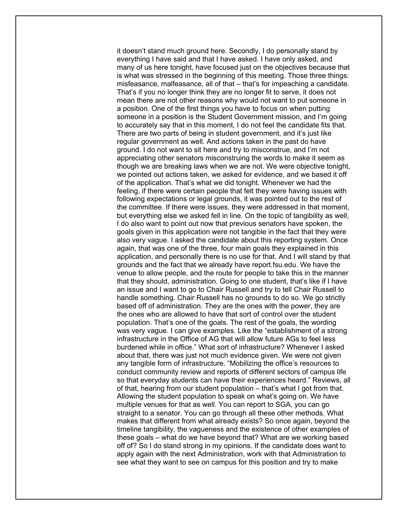it doesn't stand much ground here. Secondly, I do personally stand by everything I have said and that I have asked. I have only asked, and many of us here tonight, have focused just on the objectives because that is what was stressed in the beginning of this meeting. Those three things: misfeasance, malfeasance, all of that – that's for impeaching a candidate. That's if you no longer think they are no longer fit to serve, it does not mean there are not other reasons why would not want to put someone in a position. One of the first things you have to focus on when putting someone in a position is the Student Government mission, and I'm going to accurately say that in this moment, I do not feel the candidate fits that. There are two parts of being in student government, and it's just like regular government as well. And actions taken in the past do have ground. I do not want to sit here and try to misconstrue, and I'm not appreciating other senators misconstruing the words to make it seem as though we are breaking laws when we are not. We were objective tonight, we pointed out actions taken, we asked for evidence, and we based it off of the application. That's what we did tonight. Whenever we had the feeling, if there were certain people that felt they were having issues with following expectations or legal grounds, it was pointed out to the rest of the committee. If there were issues, they were addressed in that moment, but everything else we asked fell in line. On the topic of tangibility as well, I do also want to point out now that previous senators have spoken, the goals given in this application were not tangible in the fact that they were also very vague. I asked the candidate about this reporting system. Once again, that was one of the three, four main goals they explained in this application, and personally there is no use for that. And I will stand by that grounds and the fact that we already have report.fsu.edu. We have the venue to allow people, and the route for people to take this in the manner that they should, administration. Going to one student, that's like if I have an issue and I want to go to Chair Russell and try to tell Chair Russell to handle something. Chair Russell has no grounds to do so. We go strictly based off of administration. They are the ones with the power, they are the ones who are allowed to have that sort of control over the student population. That's one of the goals. The rest of the goals, the wording was very vague. I can give examples. Like the "establishment of a strong infrastructure in the Office of AG that will allow future AGs to feel less burdened while in office." What sort of infrastructure? Whenever I asked about that, there was just not much evidence given. We were not given any tangible form of infrastructure. "Mobilizing the office's resources to conduct community review and reports of different sectors of campus life so that everyday students can have their experiences heard." Reviews, all of that, hearing from our student population – that's what I got from that. Allowing the student population to speak on what's going on. We have multiple venues for that as well. You can report to SGA, you can go straight to a senator. You can go through all these other methods. What makes that different from what already exists? So once again, beyond the timeline tangibility, the vagueness and the existence of other examples of these goals – what do we have beyond that? What are we working based off of? So I do stand strong in my opinions. If the candidate does want to apply again with the next Administration, work with that Administration to see what they want to see on campus for this position and try to make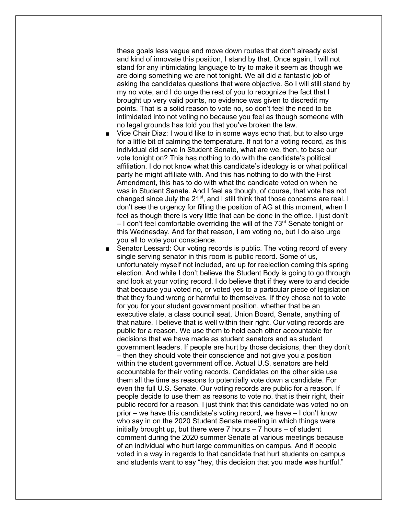these goals less vague and move down routes that don't already exist and kind of innovate this position, I stand by that. Once again, I will not stand for any intimidating language to try to make it seem as though we are doing something we are not tonight. We all did a fantastic job of asking the candidates questions that were objective. So I will still stand by my no vote, and I do urge the rest of you to recognize the fact that I brought up very valid points, no evidence was given to discredit my points. That is a solid reason to vote no, so don't feel the need to be intimidated into not voting no because you feel as though someone with no legal grounds has told you that you've broken the law.

- Vice Chair Diaz: I would like to in some ways echo that, but to also urge for a little bit of calming the temperature. If not for a voting record, as this individual did serve in Student Senate, what are we, then, to base our vote tonight on? This has nothing to do with the candidate's political affiliation. I do not know what this candidate's ideology is or what political party he might affiliate with. And this has nothing to do with the First Amendment, this has to do with what the candidate voted on when he was in Student Senate. And I feel as though, of course, that vote has not changed since July the 21<sup>st</sup>, and I still think that those concerns are real. I don't see the urgency for filling the position of AG at this moment, when I feel as though there is very little that can be done in the office. I just don't  $-1$  don't feel comfortable overriding the will of the 73<sup>rd</sup> Senate tonight or this Wednesday. And for that reason, I am voting no, but I do also urge you all to vote your conscience.
- Senator Lessard: Our voting records is public. The voting record of every single serving senator in this room is public record. Some of us, unfortunately myself not included, are up for reelection coming this spring election. And while I don't believe the Student Body is going to go through and look at your voting record, I do believe that if they were to and decide that because you voted no, or voted yes to a particular piece of legislation that they found wrong or harmful to themselves. If they chose not to vote for you for your student government position, whether that be an executive slate, a class council seat, Union Board, Senate, anything of that nature, I believe that is well within their right. Our voting records are public for a reason. We use them to hold each other accountable for decisions that we have made as student senators and as student government leaders. If people are hurt by those decisions, then they don't – then they should vote their conscience and not give you a position within the student government office. Actual U.S. senators are held accountable for their voting records. Candidates on the other side use them all the time as reasons to potentially vote down a candidate. For even the full U.S. Senate. Our voting records are public for a reason. If people decide to use them as reasons to vote no, that is their right, their public record for a reason. I just think that this candidate was voted no on prior – we have this candidate's voting record, we have – I don't know who say in on the 2020 Student Senate meeting in which things were initially brought up, but there were  $7$  hours  $-7$  hours  $-$  of student comment during the 2020 summer Senate at various meetings because of an individual who hurt large communities on campus. And if people voted in a way in regards to that candidate that hurt students on campus and students want to say "hey, this decision that you made was hurtful,"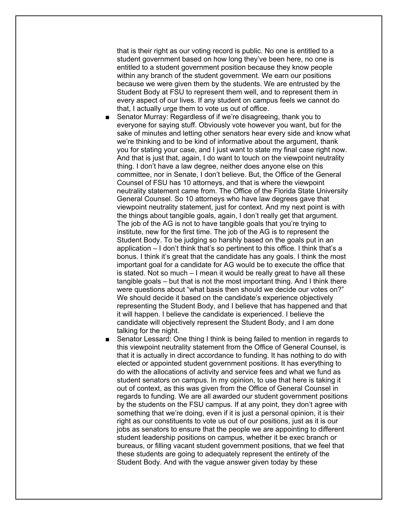that is their right as our voting record is public. No one is entitled to a student government based on how long they've been here, no one is entitled to a student government position because they know people within any branch of the student government. We earn our positions because we were given them by the students. We are entrusted by the Student Body at FSU to represent them well, and to represent them in every aspect of our lives. If any student on campus feels we cannot do that, I actually urge them to vote us out of office.

- Senator Murray: Regardless of if we're disagreeing, thank you to everyone for saying stuff. Obviously vote however you want, but for the sake of minutes and letting other senators hear every side and know what we're thinking and to be kind of informative about the argument, thank you for stating your case, and I just want to state my final case right now. And that is just that, again, I do want to touch on the viewpoint neutrality thing. I don't have a law degree, neither does anyone else on this committee, nor in Senate, I don't believe. But, the Office of the General Counsel of FSU has 10 attorneys, and that is where the viewpoint neutrality statement came from. The Office of the Florida State University General Counsel. So 10 attorneys who have law degrees gave that viewpoint neutrality statement, just for context. And my next point is with the things about tangible goals, again, I don't really get that argument. The job of the AG is not to have tangible goals that you're trying to institute, new for the first time. The job of the AG is to represent the Student Body. To be judging so harshly based on the goals put in an application – I don't think that's so pertinent to this office. I think that's a bonus. I think it's great that the candidate has any goals. I think the most important goal for a candidate for AG would be to execute the office that is stated. Not so much – I mean it would be really great to have all these tangible goals – but that is not the most important thing. And I think there were questions about "what basis then should we decide our votes on?" We should decide it based on the candidate's experience objectively representing the Student Body, and I believe that has happened and that it will happen. I believe the candidate is experienced. I believe the candidate will objectively represent the Student Body, and I am done talking for the night.
- Senator Lessard: One thing I think is being failed to mention in regards to this viewpoint neutrality statement from the Office of General Counsel, is that it is actually in direct accordance to funding. It has nothing to do with elected or appointed student government positions. It has everything to do with the allocations of activity and service fees and what we fund as student senators on campus. In my opinion, to use that here is taking it out of context, as this was given from the Office of General Counsel in regards to funding. We are all awarded our student government positions by the students on the FSU campus. If at any point, they don't agree with something that we're doing, even if it is just a personal opinion, it is their right as our constituents to vote us out of our positions, just as it is our jobs as senators to ensure that the people we are appointing to different student leadership positions on campus, whether it be exec branch or bureaus, or filling vacant student government positions, that we feel that these students are going to adequately represent the entirety of the Student Body. And with the vague answer given today by these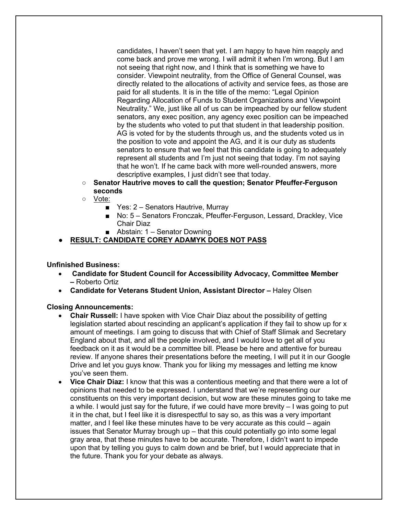candidates, I haven't seen that yet. I am happy to have him reapply and come back and prove me wrong. I will admit it when I'm wrong. But I am not seeing that right now, and I think that is something we have to consider. Viewpoint neutrality, from the Office of General Counsel, was directly related to the allocations of activity and service fees, as those are paid for all students. It is in the title of the memo: "Legal Opinion Regarding Allocation of Funds to Student Organizations and Viewpoint Neutrality." We, just like all of us can be impeached by our fellow student senators, any exec position, any agency exec position can be impeached by the students who voted to put that student in that leadership position. AG is voted for by the students through us, and the students voted us in the position to vote and appoint the AG, and it is our duty as students senators to ensure that we feel that this candidate is going to adequately represent all students and I'm just not seeing that today. I'm not saying that he won't. If he came back with more well-rounded answers, more descriptive examples, I just didn't see that today.

- **Senator Hautrive moves to call the question; Senator Pfeuffer-Ferguson seconds**
- Vote:
	- Yes: 2 Senators Hautrive, Murray
	- No: 5 Senators Fronczak, Pfeuffer-Ferguson, Lessard, Drackley, Vice Chair Diaz
	- Abstain: 1 Senator Downing
- **RESULT: CANDIDATE COREY ADAMYK DOES NOT PASS**

### **Unfinished Business:**

- **Candidate for Student Council for Accessibility Advocacy, Committee Member –** Roberto Ortiz
- **Candidate for Veterans Student Union, Assistant Director –** Haley Olsen

### **Closing Announcements:**

- **Chair Russell:** I have spoken with Vice Chair Diaz about the possibility of getting legislation started about rescinding an applicant's application if they fail to show up for x amount of meetings. I am going to discuss that with Chief of Staff Slimak and Secretary England about that, and all the people involved, and I would love to get all of you feedback on it as it would be a committee bill. Please be here and attentive for bureau review. If anyone shares their presentations before the meeting, I will put it in our Google Drive and let you guys know. Thank you for liking my messages and letting me know you've seen them.
- **Vice Chair Diaz:** I know that this was a contentious meeting and that there were a lot of opinions that needed to be expressed. I understand that we're representing our constituents on this very important decision, but wow are these minutes going to take me a while. I would just say for the future, if we could have more brevity – I was going to put it in the chat, but I feel like it is disrespectful to say so, as this was a very important matter, and I feel like these minutes have to be very accurate as this could – again issues that Senator Murray brough up – that this could potentially go into some legal gray area, that these minutes have to be accurate. Therefore, I didn't want to impede upon that by telling you guys to calm down and be brief, but I would appreciate that in the future. Thank you for your debate as always.